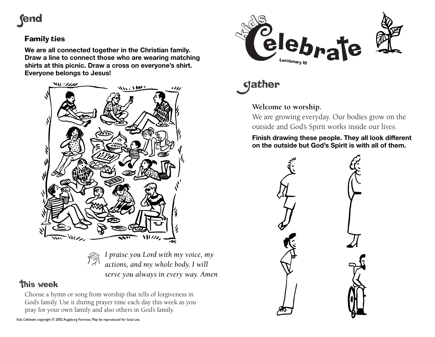

## Family ties

**We are all connected together in the Christian family. Draw a line to connect those who are wearing matching shirts at this picnic. Draw a cross on everyone's shirt. Everyone belongs to Jesus!**



*I praise you Lord with my voice, my actions, and my whole body. I will serve you always in every way. Amen*

## **This week**

Choose a hymn or song from worship that tells of forgiveness in God's family. Use it during prayer time each day this week as you pray for your own family and also others in God's family.



**gather** 

## **Welcome to worship.**

We are growing everyday. Our bodies grow on the outside and God's Spirit works inside our lives.

**Finish drawing these people. They all look different on the outside but God's Spirit is with all of them.**